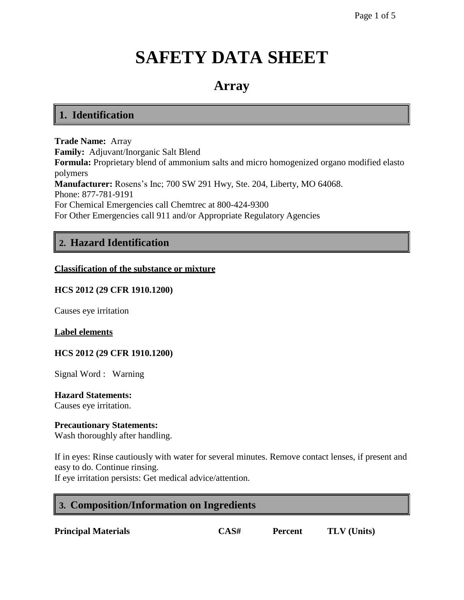# **SAFETY DATA SHEET**

# **Array**

# **1. Identification**

**Trade Name:** Array **Family:** Adjuvant/Inorganic Salt Blend **Formula:** Proprietary blend of ammonium salts and micro homogenized organo modified elasto polymers **Manufacturer:** Rosens's Inc; 700 SW 291 Hwy, Ste. 204, Liberty, MO 64068. Phone: 877-781-9191 For Chemical Emergencies call Chemtrec at 800-424-9300 For Other Emergencies call 911 and/or Appropriate Regulatory Agencies

# **2. Hazard Identification**

#### **Classification of the substance or mixture**

## **HCS 2012 (29 CFR 1910.1200)**

Causes eye irritation

#### **Label elements**

#### **HCS 2012 (29 CFR 1910.1200)**

Signal Word : Warning

**Hazard Statements:** Causes eye irritation.

#### **Precautionary Statements:**

Wash thoroughly after handling.

If in eyes: Rinse cautiously with water for several minutes. Remove contact lenses, if present and easy to do. Continue rinsing.

If eye irritation persists: Get medical advice/attention.

# **3. Composition/Information on Ingredients**

**Principal Materials CAS# Percent TLV (Units)**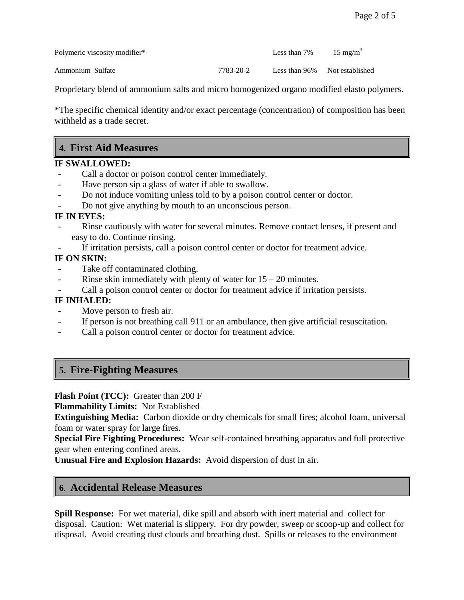Polymeric viscosity modifier\* Less than 7% 15 mg/m<sup>3</sup>

Ammonium Sulfate 7783-20-2 Less than 96% Not established

Proprietary blend of ammonium salts and micro homogenized organo modified elasto polymers.

\*The specific chemical identity and/or exact percentage (concentration) of composition has been withheld as a trade secret.

# **4. First Aid Measures**

## **IF SWALLOWED:**

- Call a doctor or poison control center immediately.
- Have person sip a glass of water if able to swallow.
- Do not induce vomiting unless told to by a poison control center or doctor.
- Do not give anything by mouth to an unconscious person.

## **IF IN EYES:**

- Rinse cautiously with water for several minutes. Remove contact lenses, if present and easy to do. Continue rinsing.
- If irritation persists, call a poison control center or doctor for treatment advice.

## **IF ON SKIN:**

- Take off contaminated clothing.
- Rinse skin immediately with plenty of water for  $15 20$  minutes.
- Call a poison control center or doctor for treatment advice if irritation persists.

## **IF INHALED:**

- Move person to fresh air.
- If person is not breathing call 911 or an ambulance, then give artificial resuscitation.
- Call a poison control center or doctor for treatment advice.

# **5. Fire-Fighting Measures**

**Flash Point (TCC):** Greater than 200 F

**Flammability Limits:** Not Established

**Extinguishing Media:** Carbon dioxide or dry chemicals for small fires; alcohol foam, universal foam or water spray for large fires.

**Special Fire Fighting Procedures:** Wear self-contained breathing apparatus and full protective gear when entering confined areas.

**Unusual Fire and Explosion Hazards:** Avoid dispersion of dust in air.

# **6**. **Accidental Release Measures**

**Spill Response:** For wet material, dike spill and absorb with inert material and collect for disposal. Caution: Wet material is slippery. For dry powder, sweep or scoop-up and collect for disposal. Avoid creating dust clouds and breathing dust. Spills or releases to the environment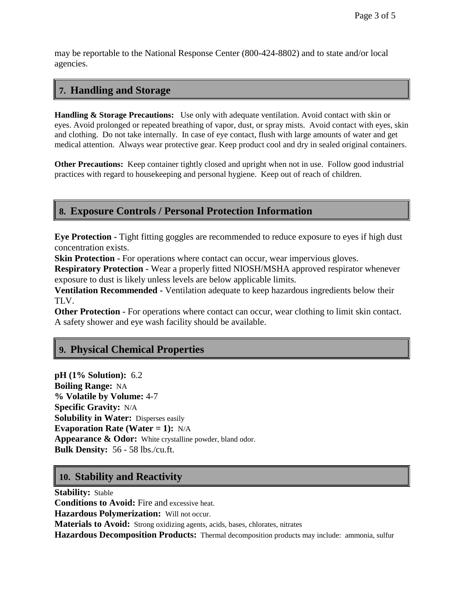may be reportable to the National Response Center (800-424-8802) and to state and/or local agencies.

# **7. Handling and Storage**

**Handling & Storage Precautions:** Use only with adequate ventilation. Avoid contact with skin or eyes. Avoid prolonged or repeated breathing of vapor, dust, or spray mists. Avoid contact with eyes, skin and clothing. Do not take internally. In case of eye contact, flush with large amounts of water and get medical attention. Always wear protective gear. Keep product cool and dry in sealed original containers.

**Other Precautions:** Keep container tightly closed and upright when not in use. Follow good industrial practices with regard to housekeeping and personal hygiene. Keep out of reach of children.

## **8. Exposure Controls / Personal Protection Information**

**Eye Protection -** Tight fitting goggles are recommended to reduce exposure to eyes if high dust concentration exists.

**Skin Protection -** For operations where contact can occur, wear impervious gloves.

**Respiratory Protection -** Wear a properly fitted NIOSH/MSHA approved respirator whenever exposure to dust is likely unless levels are below applicable limits.

**Ventilation Recommended -** Ventilation adequate to keep hazardous ingredients below their TLV.

**Other Protection -** For operations where contact can occur, wear clothing to limit skin contact. A safety shower and eye wash facility should be available.

# **9. Physical Chemical Properties**

**pH (1% Solution):** 6.2 **Boiling Range:** NA **% Volatile by Volume:** 4-7 **Specific Gravity:** N/A **Solubility in Water:** Disperses easily **Evaporation Rate (Water = 1):** N/A **Appearance & Odor:** White crystalline powder, bland odor. **Bulk Density:** 56 - 58 lbs./cu.ft.

# **10. Stability and Reactivity**

**Stability:** Stable **Conditions to Avoid:** Fire and excessive heat. **Hazardous Polymerization:** Will not occur. **Materials to Avoid:** Strong oxidizing agents, acids, bases, chlorates, nitrates **Hazardous Decomposition Products:** Thermal decomposition products may include: ammonia, sulfur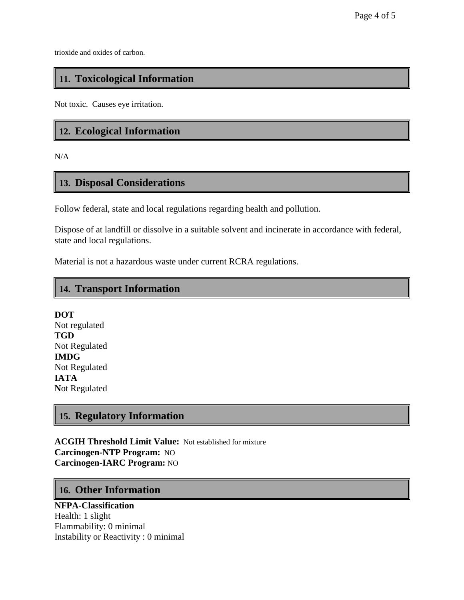trioxide and oxides of carbon.

# **11. Toxicological Information**

Not toxic. Causes eye irritation.

# **12. Ecological Information**

N/A

# **13. Disposal Considerations**

Follow federal, state and local regulations regarding health and pollution.

Dispose of at landfill or dissolve in a suitable solvent and incinerate in accordance with federal, state and local regulations.

Material is not a hazardous waste under current RCRA regulations.

## **14. Transport Information**

**DOT** Not regulated **TGD** Not Regulated **IMDG** Not Regulated **IATA N**ot Regulated

# **15. Regulatory Information**

**ACGIH Threshold Limit Value:** Not established for mixture **Carcinogen-NTP Program:** NO **Carcinogen-IARC Program:** NO

## **16. Other Information**

## **NFPA-Classification**

Health: 1 slight Flammability: 0 minimal Instability or Reactivity : 0 minimal